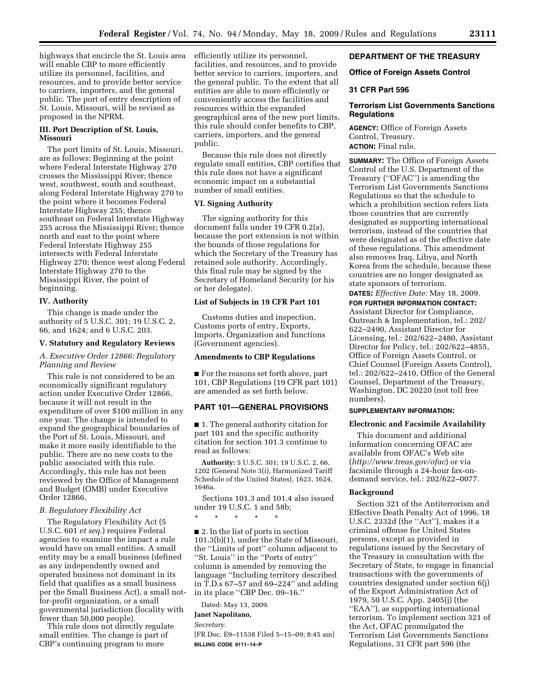highways that encircle the St. Louis area will enable CBP to more efficiently utilize its personnel, facilities, and resources, and to provide better service to carriers, importers, and the general public. The port of entry description of St. Louis, Missouri, will be revised as proposed in the NPRM.

# **III. Port Description of St. Louis, Missouri**

The port limits of St. Louis, Missouri, are as follows: Beginning at the point where Federal Interstate Highway 270 crosses the Mississippi River; thence west, southwest, south and southeast, along Federal Interstate Highway 270 to the point where it becomes Federal Interstate Highway 255; thence southeast on Federal Interstate Highway 255 across the Mississippi River; thence north and east to the point where Federal Interstate Highway 255 intersects with Federal Interstate Highway 270; thence west along Federal Interstate Highway 270 to the Mississippi River, the point of beginning.

## **IV. Authority**

This change is made under the authority of 5 U.S.C. 301; 19 U.S.C. 2, 66, and 1624; and 6 U.S.C. 203.

#### **V. Statutory and Regulatory Reviews**

# *A. Executive Order 12866: Regulatory Planning and Review*

This rule is not considered to be an economically significant regulatory action under Executive Order 12866, because it will not result in the expenditure of over \$100 million in any one year. The change is intended to expand the geographical boundaries of the Port of St. Louis, Missouri, and make it more easily identifiable to the public. There are no new costs to the public associated with this rule. Accordingly, this rule has not been reviewed by the Office of Management and Budget (OMB) under Executive Order 12866.

# *B. Regulatory Flexibility Act*

The Regulatory Flexibility Act (5 U.S.C. 601 *et seq.*) requires Federal agencies to examine the impact a rule would have on small entities. A small entity may be a small business (defined as any independently owned and operated business not dominant in its field that qualifies as a small business per the Small Business Act), a small notfor-profit organization, or a small governmental jurisdiction (locality with fewer than 50,000 people).

This rule does not directly regulate small entities. The change is part of CBP's continuing program to more

efficiently utilize its personnel, facilities, and resources, and to provide better service to carriers, importers, and the general public. To the extent that all entities are able to more efficiently or conveniently access the facilities and resources within the expanded geographical area of the new port limits, this rule should confer benefits to CBP, carriers, importers, and the general public.

Because this rule does not directly regulate small entities, CBP certifies that this rule does not have a significant economic impact on a substantial number of small entities.

# **VI. Signing Authority**

The signing authority for this document falls under 19 CFR 0.2(a), because the port extension is not within the bounds of those regulations for which the Secretary of the Treasury has retained sole authority. Accordingly, this final rule may be signed by the Secretary of Homeland Security (or his or her delegate).

# **List of Subjects in 19 CFR Part 101**

Customs duties and inspection, Customs ports of entry, Exports, Imports, Organization and functions (Government agencies).

# **Amendments to CBP Regulations**

■ For the reasons set forth above, part 101, CBP Regulations (19 CFR part 101) are amended as set forth below.

# **PART 101—GENERAL PROVISIONS**

■ 1. The general authority citation for part 101 and the specific authority citation for section 101.3 continue to read as follows:

**Authority:** 5 U.S.C. 301; 19 U.S.C. 2, 66, 1202 (General Note 3(i), Harmonized Tariff Schedule of the United States), 1623, 1624, 1646a.

Sections 101.3 and 101.4 also issued under 19 U.S.C. 1 and 58b;

\* \* \* \* \*

■ 2. In the list of ports in section 101.3(b)(1), under the State of Missouri, the ''Limits of port'' column adjacent to ''St. Louis'' in the ''Ports of entry'' column is amended by removing the language ''Including territory described in T.D.s 67–57 and 69–224'' and adding in its place ''CBP Dec. 09–16.''

Dated: May 13, 2009.

**Janet Napolitano,** 

*Secretary.* 

[FR Doc. E9–11538 Filed 5–15–09; 8:45 am] **BILLING CODE 9111–14–P** 

### **DEPARTMENT OF THE TREASURY**

### **Office of Foreign Assets Control**

### **31 CFR Part 596**

# **Terrorism List Governments Sanctions Regulations**

**AGENCY:** Office of Foreign Assets Control, Treasury. **ACTION:** Final rule.

**SUMMARY:** The Office of Foreign Assets Control of the U.S. Department of the Treasury (''OFAC'') is amending the Terrorism List Governments Sanctions Regulations so that the schedule to which a prohibition section refers lists those countries that are currently designated as supporting international terrorism, instead of the countries that were designated as of the effective date of these regulations. This amendment also removes Iraq, Libya, and North Korea from the schedule, because these countries are no longer designated as state sponsors of terrorism.

**DATES:** *Effective Date:* May 18, 2009. **FOR FURTHER INFORMATION CONTACT:**  Assistant Director for Compliance, Outreach & Implementation, tel.: 202/ 622–2490, Assistant Director for Licensing, tel.: 202/622–2480, Assistant Director for Policy, tel.: 202/622–4855, Office of Foreign Assets Control, or Chief Counsel (Foreign Assets Control), tel.: 202/622–2410, Office of the General Counsel, Department of the Treasury, Washington, DC 20220 (not toll free numbers).

# **SUPPLEMENTARY INFORMATION:**

#### **Electronic and Facsimile Availability**

This document and additional information concerning OFAC are available from OFAC's Web site (*<http://www.treas.gov/ofac>*) or via facsimile through a 24-hour fax-ondemand service, tel.: 202/622–0077.

#### **Background**

Section 321 of the Antiterrorism and Effective Death Penalty Act of 1996, 18 U.S.C. 2332d (the ''Act''), makes it a criminal offense for United States persons, except as provided in regulations issued by the Secretary of the Treasury in consultation with the Secretary of State, to engage in financial transactions with the governments of countries designated under section 6(j) of the Export Administration Act of 1979, 50 U.S.C. App. 2405(j) (the "EAA"), as supporting international terrorism. To implement section 321 of the Act, OFAC promulgated the Terrorism List Governments Sanctions Regulations, 31 CFR part 596 (the